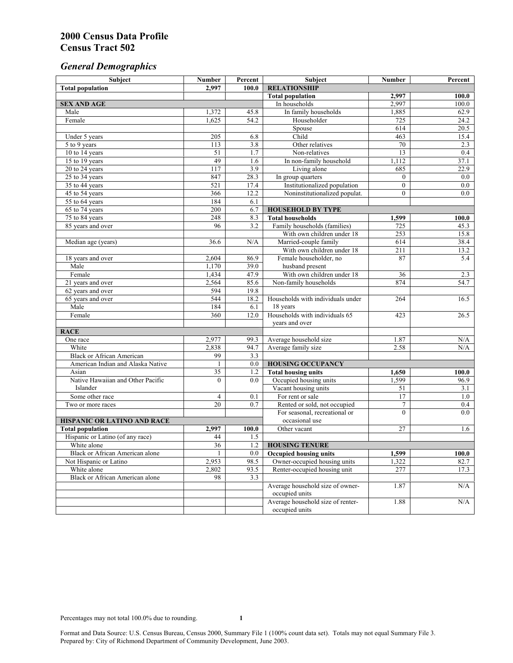# *General Demographics*

| Subject                           | <b>Number</b>    | Percent    | Subject                                                 | <b>Number</b>  | Percent      |
|-----------------------------------|------------------|------------|---------------------------------------------------------|----------------|--------------|
| <b>Total population</b>           | 2,997            | 100.0      | <b>RELATIONSHIP</b>                                     |                |              |
|                                   |                  |            | <b>Total population</b>                                 | 2,997          | 100.0        |
| <b>SEX AND AGE</b>                |                  |            | In households                                           | 2,997          | 100.0        |
| Male                              | 1,372            | 45.8       | In family households                                    | 1,885          | 62.9         |
| Female                            | 1,625            | 54.2       | Householder                                             | 725            | 24.2         |
|                                   |                  |            | Spouse                                                  | 614            | 20.5         |
| Under 5 years                     | 205              | 6.8        | Child                                                   | 463            | 15.4         |
| 5 to 9 years                      | 113              | 3.8        | Other relatives                                         | 70             | 2.3          |
| 10 to 14 years                    | 51               | 1.7        | Non-relatives                                           | 13             | 0.4          |
| 15 to 19 years                    | 49               | 1.6        | In non-family household                                 | 1,112          | 37.1         |
| 20 to 24 years                    | $\overline{117}$ | 3.9        | Living alone                                            | 685            | 22.9         |
| $25 \text{ to } 34$ years         | 847              | 28.3       | In group quarters                                       | $\overline{0}$ | 0.0          |
| 35 to 44 years                    | 521              | 17.4       | Institutionalized population                            | $\overline{0}$ | 0.0          |
| 45 to 54 years                    | 366              | 12.2       | Noninstitutionalized populat.                           | $\overline{0}$ | 0.0          |
| 55 to 64 years                    | 184              | 6.1        |                                                         |                |              |
| 65 to 74 years                    | 200              | 6.7        | <b>HOUSEHOLD BY TYPE</b>                                |                |              |
| 75 to 84 years                    | 248<br>96        | 8.3<br>3.2 | <b>Total households</b><br>Family households (families) | 1,599<br>725   | 100.0        |
| 85 years and over                 |                  |            | With own children under 18                              | 253            | 45.3<br>15.8 |
|                                   | 36.6             | N/A        | Married-couple family                                   | 614            | 38.4         |
| Median age (years)                |                  |            | With own children under 18                              | 211            | 13.2         |
| 18 years and over                 | 2,604            | 86.9       | Female householder, no                                  | 87             | 5.4          |
| Male                              | 1,170            | 39.0       | husband present                                         |                |              |
| Female                            | 1,434            | 47.9       | With own children under 18                              | 36             | 2.3          |
| 21 years and over                 | 2,564            | 85.6       | Non-family households                                   | 874            | 54.7         |
| 62 years and over                 | 594              | 19.8       |                                                         |                |              |
| 65 years and over                 | 544              | 18.2       | Households with individuals under                       | 264            | 16.5         |
| Male                              | 184              | 6.1        | 18 years                                                |                |              |
| Female                            | 360              | 12.0       | Households with individuals 65                          | 423            | 26.5         |
|                                   |                  |            | years and over                                          |                |              |
| <b>RACE</b>                       |                  |            |                                                         |                |              |
| One race                          | 2,977            | 99.3       | Average household size                                  | 1.87           | $\rm N/A$    |
| White                             | 2,838            | 94.7       | Average family size                                     | 2.58           | N/A          |
| <b>Black or African American</b>  | 99               | 3.3        |                                                         |                |              |
| American Indian and Alaska Native | 1                | 0.0        | <b>HOUSING OCCUPANCY</b>                                |                |              |
| Asian                             | $\overline{35}$  | 1.2        | <b>Total housing units</b>                              | 1,650          | 100.0        |
| Native Hawaiian and Other Pacific | $\theta$         | 0.0        | Occupied housing units                                  | 1,599          | 96.9         |
| Islander                          |                  |            | Vacant housing units                                    | 51             | 3.1          |
| Some other race                   | 4                | 0.1        | For rent or sale                                        | 17             | 1.0          |
| Two or more races                 | 20               | 0.7        | Rented or sold, not occupied                            | $\tau$         | 0.4          |
|                                   |                  |            | For seasonal, recreational or                           | $\theta$       | 0.0          |
| HISPANIC OR LATINO AND RACE       |                  |            | occasional use                                          |                |              |
| <b>Total population</b>           | 2,997            | 100.0      | Other vacant                                            | 27             | 1.6          |
| Hispanic or Latino (of any race)  | 44               | 1.5        |                                                         |                |              |
| White alone                       | $\overline{36}$  | 1.2        | <b>HOUSING TENURE</b>                                   |                |              |
| Black or African American alone   | 1                | 0.0        | <b>Occupied housing units</b>                           | 1,599          | 100.0        |
| Not Hispanic or Latino            | 2,953            | 98.5       | Owner-occupied housing units                            | 1,322          | 82.7         |
| White alone                       | 2,802            | 93.5       | Renter-occupied housing unit                            | 277            | 17.3         |
| Black or African American alone   | 98               | 3.3        |                                                         |                |              |
|                                   |                  |            | Average household size of owner-                        | 1.87           | N/A          |
|                                   |                  |            | occupied units                                          |                |              |
|                                   |                  |            | Average household size of renter-                       | 1.88           | N/A          |
|                                   |                  |            | occupied units                                          |                |              |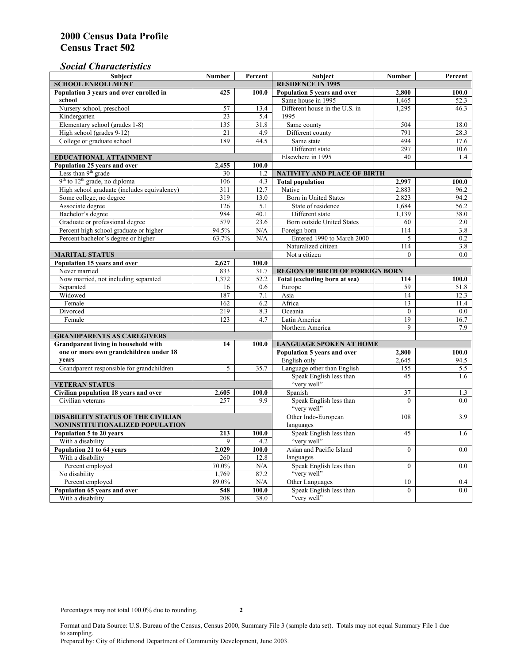# *Social Characteristics*

| <b>Subject</b>                                             | <b>Number</b>            | Percent       | Subject                                          | <b>Number</b>    | Percent |
|------------------------------------------------------------|--------------------------|---------------|--------------------------------------------------|------------------|---------|
| <b>SCHOOL ENROLLMENT</b>                                   | <b>RESIDENCE IN 1995</b> |               |                                                  |                  |         |
| Population 3 years and over enrolled in                    | 425                      | 100.0         | Population 5 years and over                      | 2,800            | 100.0   |
| school                                                     |                          |               | Same house in 1995                               | 1,465            | 52.3    |
| Nursery school, preschool                                  | 57                       | 13.4          | Different house in the U.S. in                   | 1,295            | 46.3    |
| Kindergarten                                               | 23                       | 5.4           | 1995                                             |                  |         |
| Elementary school (grades 1-8)                             | 135                      | 31.8          | Same county                                      | 504              | 18.0    |
| High school (grades 9-12)                                  | 21                       | 4.9           | Different county                                 | 791              | 28.3    |
| College or graduate school                                 | 189                      | 44.5          | Same state                                       | 494              | 17.6    |
|                                                            |                          |               | Different state                                  | 297              | 10.6    |
| <b>EDUCATIONAL ATTAINMENT</b>                              |                          |               | Elsewhere in 1995                                | 40               | 1.4     |
| Population 25 years and over                               | 2,455                    | 100.0         |                                                  |                  |         |
| Less than 9 <sup>th</sup> grade                            | 30                       | 1.2           | NATIVITY AND PLACE OF BIRTH                      |                  |         |
| $9th$ to $12th$ grade, no diploma                          | 106                      | 4.3           | <b>Total population</b>                          | 2,997            | 100.0   |
| High school graduate (includes equivalency)                | 311                      | 12.7          | Native                                           | 2.883            | 96.2    |
| Some college, no degree                                    | 319                      | 13.0          | Born in United States                            | 2.823            | 94.2    |
| Associate degree                                           | 126                      | 5.1           | State of residence                               | 1,684            | 56.2    |
| Bachelor's degree                                          | 984                      | 40.1          | Different state                                  | 1,139            | 38.0    |
| Graduate or professional degree                            | 579                      | 23.6          | <b>Born outside United States</b>                | 60               | 2.0     |
| Percent high school graduate or higher                     | 94.5%                    | N/A           | Foreign born                                     | $\overline{114}$ | 3.8     |
| Percent bachelor's degree or higher                        | 63.7%                    | N/A           | Entered 1990 to March 2000                       | 5                | 0.2     |
|                                                            |                          |               | Naturalized citizen                              | $\overline{114}$ | 3.8     |
| <b>MARITAL STATUS</b>                                      |                          | Not a citizen | $\Omega$                                         | 0.0              |         |
| Population 15 years and over                               | 2,627                    | 100.0         |                                                  |                  |         |
| Never married                                              | 833                      | 31.7          | <b>REGION OF BIRTH OF FOREIGN BORN</b>           |                  |         |
| Now married, not including separated                       | 1,372                    | 52.2          | Total (excluding born at sea)                    | 114              | 100.0   |
| Separated                                                  | 16                       | 0.6           | Europe                                           | 59               | 51.8    |
| Widowed                                                    | 187                      | 7.1           | Asia                                             | 14               | 12.3    |
| Female                                                     | 162                      | 6.2           | Africa                                           | 13               | 11.4    |
| Divorced                                                   | 219                      | 8.3           | Oceania                                          | $\theta$         | 0.0     |
| Female                                                     | 123                      | 4.7           | Latin America                                    | 19               | 16.7    |
|                                                            |                          |               | Northern America                                 | 9                | 7.9     |
| <b>GRANDPARENTS AS CAREGIVERS</b>                          |                          |               |                                                  |                  |         |
| <b>Grandparent living in household with</b><br>14          |                          | 100.0         | <b>LANGUAGE SPOKEN AT HOME</b><br>2.800<br>100.0 |                  |         |
| one or more own grandchildren under 18<br>years            |                          |               | Population 5 years and over                      |                  |         |
|                                                            |                          |               | English only<br>Language other than English      | 2,645            | 94.5    |
| Grandparent responsible for grandchildren                  | 5                        | 35.7          | Speak English less than                          | 155<br>45        | 5.5     |
|                                                            |                          |               | "very well"                                      |                  | 1.6     |
| <b>VETERAN STATUS</b>                                      |                          |               | Spanish                                          | 37               | 1.3     |
| Civilian population 18 years and over<br>Civilian veterans | 2,605<br>257             | 100.0<br>9.9  | Speak English less than                          | $\theta$         | 0.0     |
|                                                            |                          |               | "very well"                                      |                  |         |
| <b>DISABILITY STATUS OF THE CIVILIAN</b>                   | Other Indo-European      | 108           | 3.9                                              |                  |         |
| NONINSTITUTIONALIZED POPULATION                            | languages                |               |                                                  |                  |         |
| Population 5 to 20 years                                   | 213                      | 100.0         | Speak English less than                          | 45               | 1.6     |
| With a disability                                          | 9                        | 4.2           | "very well"                                      |                  |         |
| Population 21 to 64 years                                  | 2,029                    | 100.0         | Asian and Pacific Island                         | $\theta$         | 0.0     |
| With a disability                                          | 260                      | 12.8          | languages                                        |                  |         |
| Percent employed                                           | 70.0%                    | N/A           | Speak English less than                          | $\overline{0}$   | 0.0     |
| No disability                                              | 1,769                    | 87.2          | "very well"                                      |                  |         |
| Percent employed                                           | 89.0%                    | N/A           | Other Languages                                  | 10               | 0.4     |
| Population 65 years and over                               | 548                      | 100.0         | Speak English less than                          | $\mathbf{0}$     | 0.0     |
| With a disability                                          | 208                      | 38.0          | "very well"                                      |                  |         |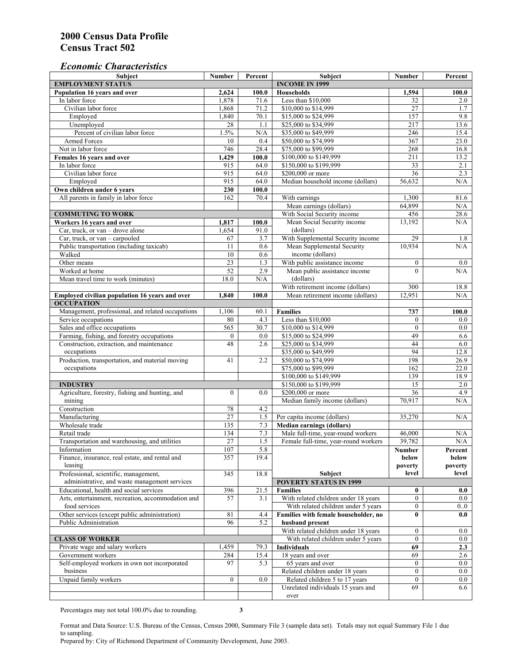### *Economic Characteristics*

| <b>Subject</b>                                                      | Number           | Percent     | Subject                              | Number           | Percent |
|---------------------------------------------------------------------|------------------|-------------|--------------------------------------|------------------|---------|
| <b>EMPLOYMENT STATUS</b>                                            |                  |             | <b>INCOME IN 1999</b>                |                  |         |
| Population 16 years and over                                        |                  | 100.0       | <b>Households</b>                    | 1,594            | 100.0   |
| In labor force                                                      | 1,878            | 71.6        | Less than \$10,000                   | 32               | 2.0     |
| Civilian labor force                                                | 1,868            | 71.2        | \$10,000 to \$14,999                 | 27               | 1.7     |
| Employed                                                            | 1,840            | 70.1        | \$15,000 to \$24,999                 | 157              | 9.8     |
| Unemployed                                                          | 28               | 1.1         | \$25,000 to \$34,999                 | 217              | 13.6    |
| Percent of civilian labor force                                     | 1.5%             | N/A         | \$35,000 to \$49,999                 | 246              | 15.4    |
| Armed Forces                                                        | 10               | 0.4         | \$50,000 to \$74,999                 | 367              | 23.0    |
| Not in labor force                                                  | 746              | 28.4        | \$75,000 to \$99,999                 | 268              | 16.8    |
| Females 16 years and over                                           | 1,429            | 100.0       | \$100,000 to \$149,999               | 211              | 13.2    |
| In labor force                                                      | 915              | 64.0        | \$150,000 to \$199,999               | 33               | 2.1     |
| Civilian labor force                                                | 915              | 64.0        | \$200,000 or more                    | 36               | 2.3     |
| Employed                                                            | 915              | 64.0        | Median household income (dollars)    | 56.632           | N/A     |
| Own children under 6 years                                          | 230              | 100.0       |                                      |                  |         |
| All parents in family in labor force                                | 162              | 70.4        | With earnings                        | 1,300            | 81.6    |
|                                                                     |                  |             | Mean earnings (dollars)              | 64,899           | N/A     |
| <b>COMMUTING TO WORK</b>                                            |                  |             | With Social Security income          | 456              | 28.6    |
| Workers 16 years and over                                           | 1,817            | 100.0       | Mean Social Security income          | 13,192           | N/A     |
| Car, truck, or van – drove alone                                    | 1,654            | 91.0        | (dollars)                            |                  |         |
| Car, truck, or van - carpooled                                      | 67               | 3.7         | With Supplemental Security income    | 29               | 1.8     |
| Public transportation (including taxicab)                           | 11               | 0.6         | Mean Supplemental Security           | 10,934           | N/A     |
| Walked                                                              | 10               | 0.6         | income (dollars)                     |                  |         |
| Other means                                                         | $\overline{23}$  | 1.3         | With public assistance income        | $\boldsymbol{0}$ | $0.0\,$ |
| Worked at home                                                      | 52               | 2.9         | Mean public assistance income        | $\theta$         | N/A     |
| Mean travel time to work (minutes)                                  | 18.0             | N/A         | (dollars)                            |                  |         |
|                                                                     |                  |             | With retirement income (dollars)     | 300              | 18.8    |
|                                                                     | 1,840            | 100.0       | Mean retirement income (dollars)     | 12,951           | N/A     |
| Employed civilian population 16 years and over<br><b>OCCUPATION</b> |                  |             |                                      |                  |         |
|                                                                     |                  |             | <b>Families</b>                      | 737              |         |
| Management, professional, and related occupations                   | 1,106            | 60.1<br>4.3 | Less than \$10,000                   |                  | 100.0   |
| Service occupations                                                 | 80               |             |                                      | $\mathbf{0}$     | $0.0\,$ |
| Sales and office occupations                                        | 565              | 30.7        | \$10,000 to \$14,999                 | $\mathbf{0}$     | 0.0     |
| Farming, fishing, and forestry occupations                          | $\boldsymbol{0}$ | 0.0         | \$15,000 to \$24,999                 | 49               | 6.6     |
| Construction, extraction, and maintenance                           | 48               | 2.6         | \$25,000 to \$34,999                 | 44               | 6.0     |
| occupations                                                         |                  |             | \$35,000 to \$49,999                 | 94               | 12.8    |
| Production, transportation, and material moving                     | 41               | 2.2         | \$50,000 to \$74,999                 | 198              | 26.9    |
| occupations                                                         |                  |             | \$75,000 to \$99,999                 | 162              | 22.0    |
|                                                                     |                  |             | \$100,000 to \$149,999               | 139              | 18.9    |
| <b>INDUSTRY</b>                                                     |                  |             | \$150,000 to \$199,999               | 15               | 2.0     |
| Agriculture, forestry, fishing and hunting, and                     | $\boldsymbol{0}$ | 0.0         | \$200,000 or more                    | $\overline{36}$  | 4.9     |
| mining                                                              |                  |             | Median family income (dollars)       | 70,917           | N/A     |
| Construction                                                        | 78               | 4.2         |                                      |                  |         |
| Manufacturing                                                       | $\overline{27}$  | 1.5         | Per capita income (dollars)          | 35,270           | N/A     |
| Wholesale trade                                                     | 135              | 7.3         | <b>Median earnings (dollars)</b>     |                  |         |
| Retail trade                                                        | 134              | 7.3         | Male full-time, year-round workers   | 46,000           | N/A     |
| Transportation and warehousing, and utilities                       | 27               | 1.5         | Female full-time, year-round workers | 39,782           | N/A     |
| Information                                                         | 107              | 5.8         |                                      | Number           | Percent |
| Finance, insurance, real estate, and rental and                     | 357              | 19.4        |                                      | below            | below   |
| leasing                                                             |                  |             |                                      | poverty          | poverty |
| Professional, scientific, management,                               | 345              | 18.8        | Subject                              | level            | level   |
| administrative, and waste management services                       |                  |             | <b>POVERTY STATUS IN 1999</b>        |                  |         |
| Educational, health and social services                             | 396              | 21.5        | <b>Families</b>                      | $\bf{0}$         | 0.0     |
| Arts, entertainment, recreation, accommodation and                  | 57               | 3.1         | With related children under 18 years | $\overline{0}$   | $0.0\,$ |
| food services                                                       |                  |             | With related children under 5 years  | $\mathbf{0}$     | 0.0     |
| Other services (except public administration)                       | 81               | 4.4         | Families with female householder, no | $\bf{0}$         | 0.0     |
| Public Administration                                               | 96               | 5.2         | husband present                      |                  |         |
|                                                                     |                  |             | With related children under 18 years | $\overline{0}$   | $0.0\,$ |
| <b>CLASS OF WORKER</b>                                              |                  |             | With related children under 5 years  | $\overline{0}$   | 0.0     |
| Private wage and salary workers                                     | 1,459            | 79.3        | <b>Individuals</b>                   | 69               | 2.3     |
| Government workers                                                  | 284              | 15.4        | 18 years and over                    | 69               | 2.6     |
| Self-employed workers in own not incorporated                       | 97               | 5.3         | 65 years and over                    | $\mathbf{0}$     | 0.0     |
| business                                                            |                  |             | Related children under 18 years      | $\overline{0}$   | $0.0\,$ |
| Unpaid family workers                                               | $\mathbf{0}$     | 0.0         | Related children 5 to 17 years       | $\overline{0}$   | $0.0\,$ |
|                                                                     |                  |             | Unrelated individuals 15 years and   | 69               | 6.6     |
|                                                                     |                  |             | over                                 |                  |         |

Percentages may not total 100.0% due to rounding. **3** 

Format and Data Source: U.S. Bureau of the Census, Census 2000, Summary File 3 (sample data set). Totals may not equal Summary File 1 due to sampling.

Prepared by: City of Richmond Department of Community Development, June 2003.